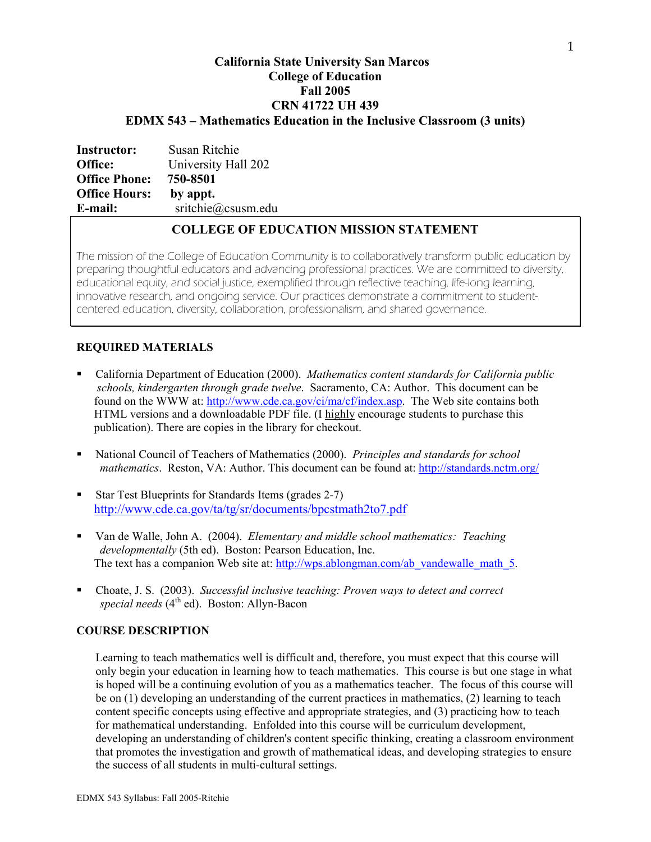# **California State University San Marcos College of Education Fall 2005 CRN 41722 UH 439 EDMX 543 – Mathematics Education in the Inclusive Classroom (3 units)**

| <b>Instructor:</b>   | Susan Ritchie       |
|----------------------|---------------------|
| Office:              | University Hall 202 |
| <b>Office Phone:</b> | 750-8501            |
| <b>Office Hours:</b> | by appt.            |
| E-mail:              | sritchie@csusm.edu  |
|                      |                     |

# **COLLEGE OF EDUCATION MISSION STATEMENT**

The mission of the College of Education Community is to collaboratively transform public education by preparing thoughtful educators and advancing professional practices. We are committed to diversity, educational equity, and social justice, exemplified through reflective teaching, life-long learning, innovative research, and ongoing service. Our practices demonstrate a commitment to studentcentered education, diversity, collaboration, professionalism, and shared governance.

# **REQUIRED MATERIALS**

- California Department of Education (2000). *Mathematics content standards for California public schools, kindergarten through grade twelve*. Sacramento, CA: Author. This document can be found on the WWW at: http://www.cde.ca.gov/ci/ma/cf/index.asp. The Web site contains both HTML versions and a downloadable PDF file. (I highly encourage students to purchase this publication). There are copies in the library for checkout.
- National Council of Teachers of Mathematics (2000). *Principles and standards for school mathematics*. Reston, VA: Author. This document can be found at: http://standards.nctm.org/
- Star Test Blueprints for Standards Items (grades 2-7) http://www.cde.ca.gov/ta/tg/sr/documents/bpcstmath2to7.pdf
- Van de Walle, John A. (2004). *Elementary and middle school mathematics: Teaching developmentally* (5th ed). Boston: Pearson Education, Inc. The text has a companion Web site at: http://wps.ablongman.com/ab\_vandewalle\_math\_5.
- Choate, J. S. (2003). *Successful inclusive teaching: Proven ways to detect and correct special needs* (4th ed). Boston: Allyn-Bacon

# **COURSE DESCRIPTION**

Learning to teach mathematics well is difficult and, therefore, you must expect that this course will only begin your education in learning how to teach mathematics. This course is but one stage in what is hoped will be a continuing evolution of you as a mathematics teacher. The focus of this course will be on (1) developing an understanding of the current practices in mathematics, (2) learning to teach content specific concepts using effective and appropriate strategies, and (3) practicing how to teach for mathematical understanding. Enfolded into this course will be curriculum development, developing an understanding of children's content specific thinking, creating a classroom environment that promotes the investigation and growth of mathematical ideas, and developing strategies to ensure the success of all students in multi-cultural settings.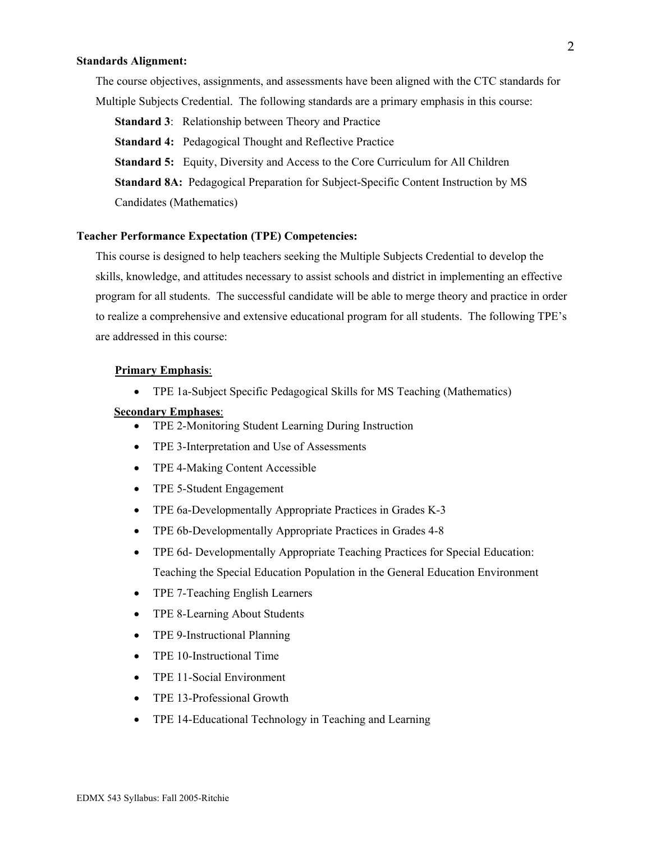#### **Standards Alignment:**

The course objectives, assignments, and assessments have been aligned with the CTC standards for Multiple Subjects Credential. The following standards are a primary emphasis in this course:

**Standard 3**: Relationship between Theory and Practice

**Standard 4:** Pedagogical Thought and Reflective Practice

**Standard 5:** Equity, Diversity and Access to the Core Curriculum for All Children

**Standard 8A:** Pedagogical Preparation for Subject-Specific Content Instruction by MS Candidates (Mathematics)

#### **Teacher Performance Expectation (TPE) Competencies:**

This course is designed to help teachers seeking the Multiple Subjects Credential to develop the skills, knowledge, and attitudes necessary to assist schools and district in implementing an effective program for all students. The successful candidate will be able to merge theory and practice in order to realize a comprehensive and extensive educational program for all students. The following TPE's are addressed in this course:

#### **Primary Emphasis**:

• TPE 1a-Subject Specific Pedagogical Skills for MS Teaching (Mathematics)

#### **Secondary Emphases**:

- TPE 2-Monitoring Student Learning During Instruction
- TPE 3-Interpretation and Use of Assessments
- TPE 4-Making Content Accessible
- TPE 5-Student Engagement
- TPE 6a-Developmentally Appropriate Practices in Grades K-3
- TPE 6b-Developmentally Appropriate Practices in Grades 4-8
- TPE 6d- Developmentally Appropriate Teaching Practices for Special Education: Teaching the Special Education Population in the General Education Environment
- TPE 7-Teaching English Learners
- TPE 8-Learning About Students
- TPE 9-Instructional Planning
- TPE 10-Instructional Time
- TPE 11-Social Environment
- TPE 13-Professional Growth
- TPE 14-Educational Technology in Teaching and Learning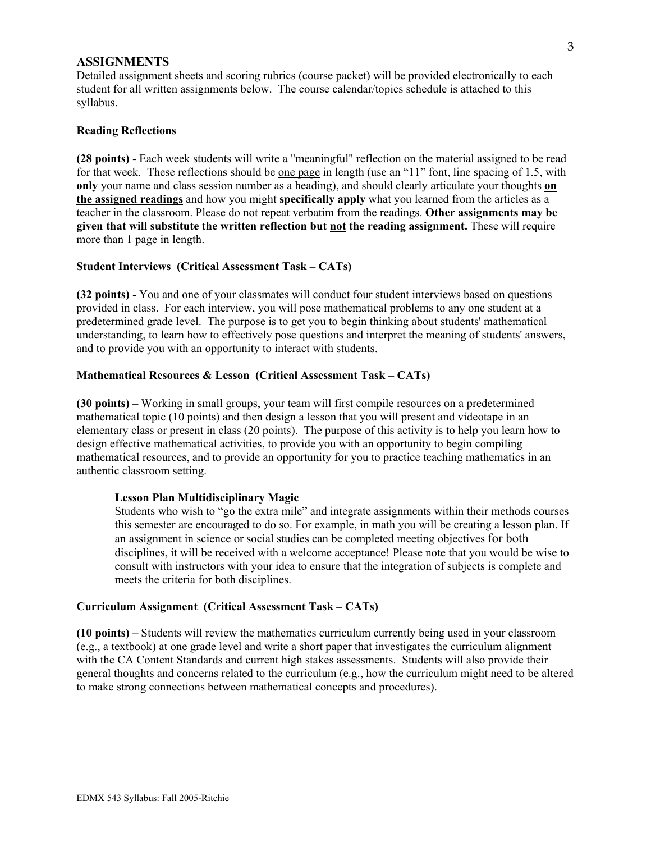#### **ASSIGNMENTS**

Detailed assignment sheets and scoring rubrics (course packet) will be provided electronically to each student for all written assignments below. The course calendar/topics schedule is attached to this syllabus.

#### **Reading Reflections**

**(28 points)** - Each week students will write a "meaningful" reflection on the material assigned to be read for that week. These reflections should be one page in length (use an "11" font, line spacing of 1.5, with **only** your name and class session number as a heading), and should clearly articulate your thoughts **on the assigned readings** and how you might **specifically apply** what you learned from the articles as a teacher in the classroom. Please do not repeat verbatim from the readings. **Other assignments may be given that will substitute the written reflection but not the reading assignment.** These will require more than 1 page in length.

#### **Student Interviews (Critical Assessment Task – CATs)**

**(32 points)** - You and one of your classmates will conduct four student interviews based on questions provided in class. For each interview, you will pose mathematical problems to any one student at a predetermined grade level. The purpose is to get you to begin thinking about students' mathematical understanding, to learn how to effectively pose questions and interpret the meaning of students' answers, and to provide you with an opportunity to interact with students.

#### **Mathematical Resources & Lesson (Critical Assessment Task – CATs)**

**(30 points) –** Working in small groups, your team will first compile resources on a predetermined mathematical topic (10 points) and then design a lesson that you will present and videotape in an elementary class or present in class (20 points). The purpose of this activity is to help you learn how to design effective mathematical activities, to provide you with an opportunity to begin compiling mathematical resources, and to provide an opportunity for you to practice teaching mathematics in an authentic classroom setting.

#### **Lesson Plan Multidisciplinary Magic**

Students who wish to "go the extra mile" and integrate assignments within their methods courses this semester are encouraged to do so. For example, in math you will be creating a lesson plan. If an assignment in science or social studies can be completed meeting objectives for both disciplines, it will be received with a welcome acceptance! Please note that you would be wise to consult with instructors with your idea to ensure that the integration of subjects is complete and meets the criteria for both disciplines.

#### **Curriculum Assignment (Critical Assessment Task – CATs)**

**(10 points) –** Students will review the mathematics curriculum currently being used in your classroom (e.g., a textbook) at one grade level and write a short paper that investigates the curriculum alignment with the CA Content Standards and current high stakes assessments. Students will also provide their general thoughts and concerns related to the curriculum (e.g., how the curriculum might need to be altered to make strong connections between mathematical concepts and procedures).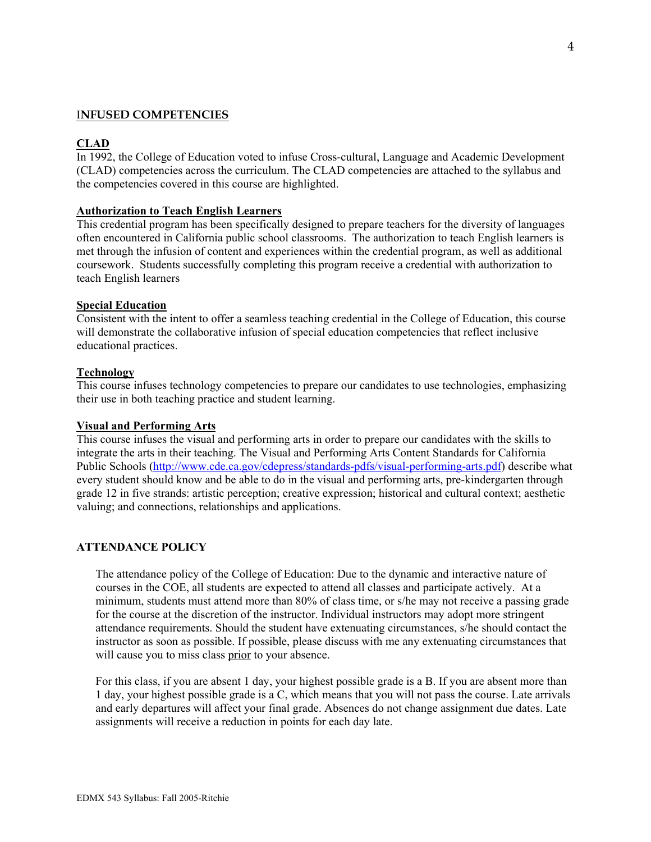## I**NFUSED COMPETENCIES**

# **CLAD**

In 1992, the College of Education voted to infuse Cross-cultural, Language and Academic Development (CLAD) competencies across the curriculum. The CLAD competencies are attached to the syllabus and the competencies covered in this course are highlighted.

## **Authorization to Teach English Learners**

This credential program has been specifically designed to prepare teachers for the diversity of languages often encountered in California public school classrooms. The authorization to teach English learners is met through the infusion of content and experiences within the credential program, as well as additional coursework. Students successfully completing this program receive a credential with authorization to teach English learners

#### **Special Education**

Consistent with the intent to offer a seamless teaching credential in the College of Education, this course will demonstrate the collaborative infusion of special education competencies that reflect inclusive educational practices.

#### **Technology**

This course infuses technology competencies to prepare our candidates to use technologies, emphasizing their use in both teaching practice and student learning.

#### **Visual and Performing Arts**

This course infuses the visual and performing arts in order to prepare our candidates with the skills to integrate the arts in their teaching. The Visual and Performing Arts Content Standards for California Public Schools (http://www.cde.ca.gov/cdepress/standards-pdfs/visual-performing-arts.pdf) describe what every student should know and be able to do in the visual and performing arts, pre-kindergarten through grade 12 in five strands: artistic perception; creative expression; historical and cultural context; aesthetic valuing; and connections, relationships and applications.

#### **ATTENDANCE POLICY**

The attendance policy of the College of Education: Due to the dynamic and interactive nature of courses in the COE, all students are expected to attend all classes and participate actively. At a minimum, students must attend more than 80% of class time, or s/he may not receive a passing grade for the course at the discretion of the instructor. Individual instructors may adopt more stringent attendance requirements. Should the student have extenuating circumstances, s/he should contact the instructor as soon as possible. If possible, please discuss with me any extenuating circumstances that will cause you to miss class prior to your absence.

For this class, if you are absent 1 day, your highest possible grade is a B. If you are absent more than 1 day, your highest possible grade is a C, which means that you will not pass the course. Late arrivals and early departures will affect your final grade. Absences do not change assignment due dates. Late assignments will receive a reduction in points for each day late.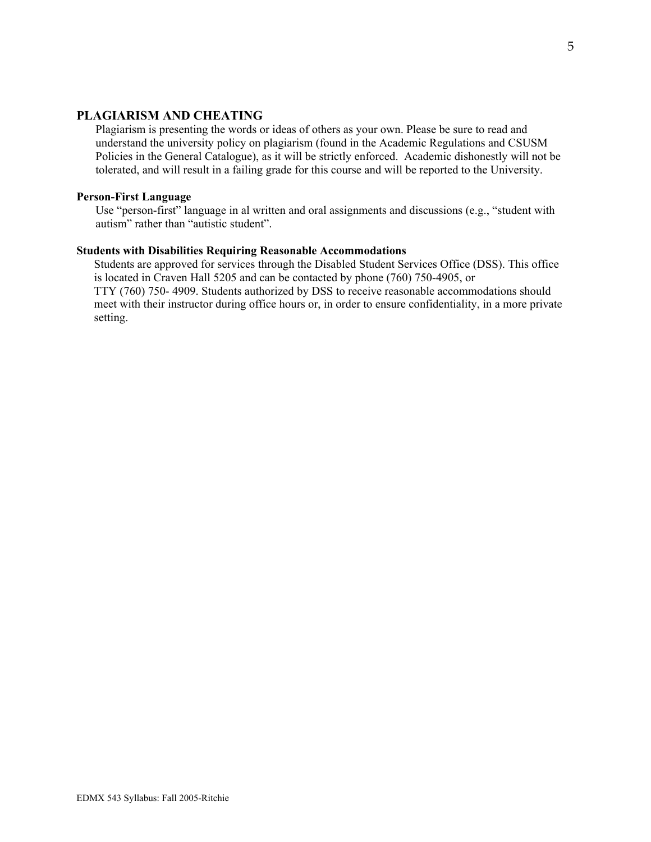## **PLAGIARISM AND CHEATING**

Plagiarism is presenting the words or ideas of others as your own. Please be sure to read and understand the university policy on plagiarism (found in the Academic Regulations and CSUSM Policies in the General Catalogue), as it will be strictly enforced. Academic dishonestly will not be tolerated, and will result in a failing grade for this course and will be reported to the University.

#### **Person-First Language**

 Use "person-first" language in al written and oral assignments and discussions (e.g., "student with autism" rather than "autistic student".

#### **Students with Disabilities Requiring Reasonable Accommodations**

 Students are approved for services through the Disabled Student Services Office (DSS). This office is located in Craven Hall 5205 and can be contacted by phone (760) 750-4905, or TTY (760) 750- 4909. Students authorized by DSS to receive reasonable accommodations should meet with their instructor during office hours or, in order to ensure confidentiality, in a more private setting.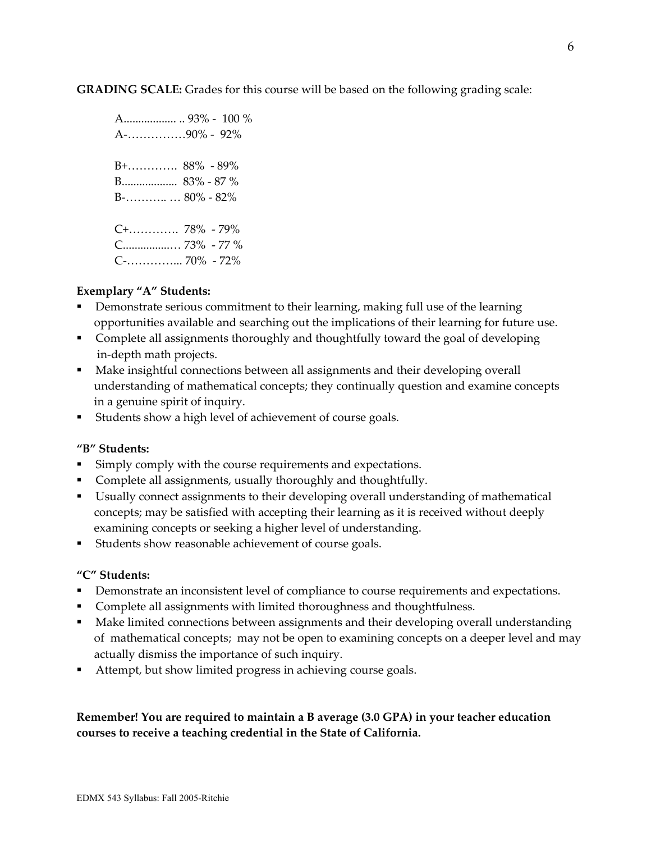**GRADING SCALE:** Grades for this course will be based on the following grading scale:

 A.................. .. 93% - 100 % A-……………90% - 92% B+…………. 88% - 89% B................... 83% - 87 % B-……….. … 80% - 82% C+…………. 78% - 79% C................… 73% - 77 % C-…………... 70% - 72%

# **Exemplary "A" Students:**

- Demonstrate serious commitment to their learning, making full use of the learning opportunities available and searching out the implications of their learning for future use.
- Complete all assignments thoroughly and thoughtfully toward the goal of developing in-depth math projects.
- Make insightful connections between all assignments and their developing overall understanding of mathematical concepts; they continually question and examine concepts in a genuine spirit of inquiry.
- Students show a high level of achievement of course goals.

## **"B" Students:**

- Simply comply with the course requirements and expectations.
- Complete all assignments, usually thoroughly and thoughtfully.
- Usually connect assignments to their developing overall understanding of mathematical concepts; may be satisfied with accepting their learning as it is received without deeply examining concepts or seeking a higher level of understanding.
- Students show reasonable achievement of course goals.

## **"C" Students:**

- **•** Demonstrate an inconsistent level of compliance to course requirements and expectations.
- **Complete all assignments with limited thoroughness and thoughtfulness.**
- Make limited connections between assignments and their developing overall understanding of mathematical concepts; may not be open to examining concepts on a deeper level and may actually dismiss the importance of such inquiry.
- Attempt, but show limited progress in achieving course goals.

**Remember! You are required to maintain a B average (3.0 GPA) in your teacher education courses to receive a teaching credential in the State of California.**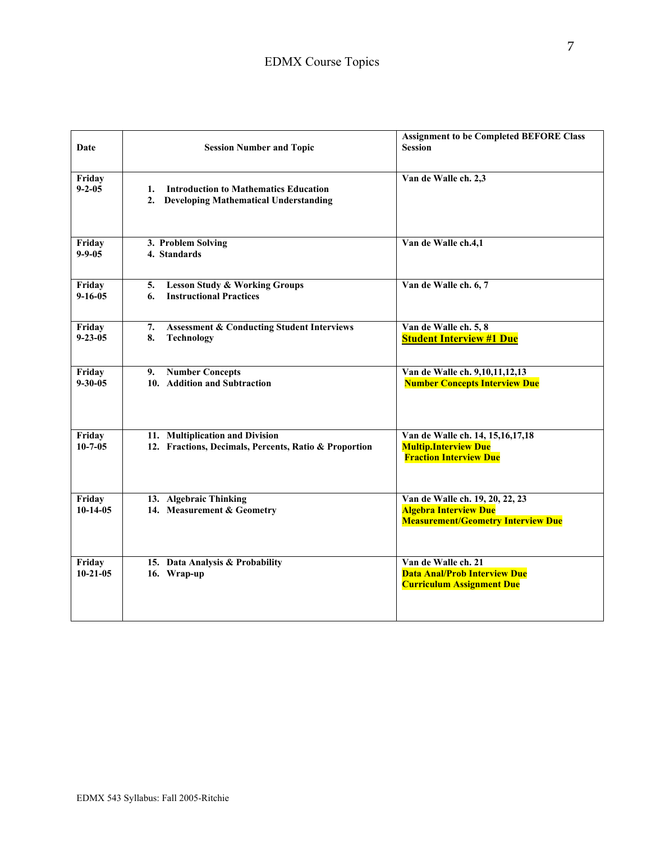| Date                     | <b>Session Number and Topic</b>                                                                | <b>Assignment to be Completed BEFORE Class</b><br><b>Session</b>                                             |
|--------------------------|------------------------------------------------------------------------------------------------|--------------------------------------------------------------------------------------------------------------|
| Friday<br>$9 - 2 - 05$   | <b>Introduction to Mathematics Education</b><br>1.<br>2. Developing Mathematical Understanding | Van de Walle ch. 2,3                                                                                         |
| Friday<br>$9 - 9 - 05$   | 3. Problem Solving<br>4. Standards                                                             | Van de Walle ch.4,1                                                                                          |
| Friday<br>$9 - 16 - 05$  | <b>Lesson Study &amp; Working Groups</b><br>5.<br><b>Instructional Practices</b><br>6.         | Van de Walle ch. 6, 7                                                                                        |
| Friday<br>$9 - 23 - 05$  | 7.<br><b>Assessment &amp; Conducting Student Interviews</b><br>8.<br>Technology                | Van de Walle ch. 5, 8<br><b>Student Interview #1 Due</b>                                                     |
| Friday<br>$9 - 30 - 05$  | 9. Number Concepts<br>10. Addition and Subtraction                                             | Van de Walle ch. 9,10,11,12,13<br><b>Number Concepts Interview Due</b>                                       |
| Friday<br>$10 - 7 - 05$  | 11. Multiplication and Division<br>12. Fractions, Decimals, Percents, Ratio & Proportion       | Van de Walle ch. 14, 15, 16, 17, 18<br><b>Multip.Interview Due</b><br><b>Fraction Interview Due</b>          |
| Friday<br>$10-14-05$     | 13. Algebraic Thinking<br>14. Measurement & Geometry                                           | Van de Walle ch. 19, 20, 22, 23<br><b>Algebra Interview Due</b><br><b>Measurement/Geometry Interview Due</b> |
| Friday<br>$10 - 21 - 05$ | 15. Data Analysis & Probability<br>16. Wrap-up                                                 | Van de Walle ch. 21<br><b>Data Anal/Prob Interview Due</b><br><b>Curriculum Assignment Due</b>               |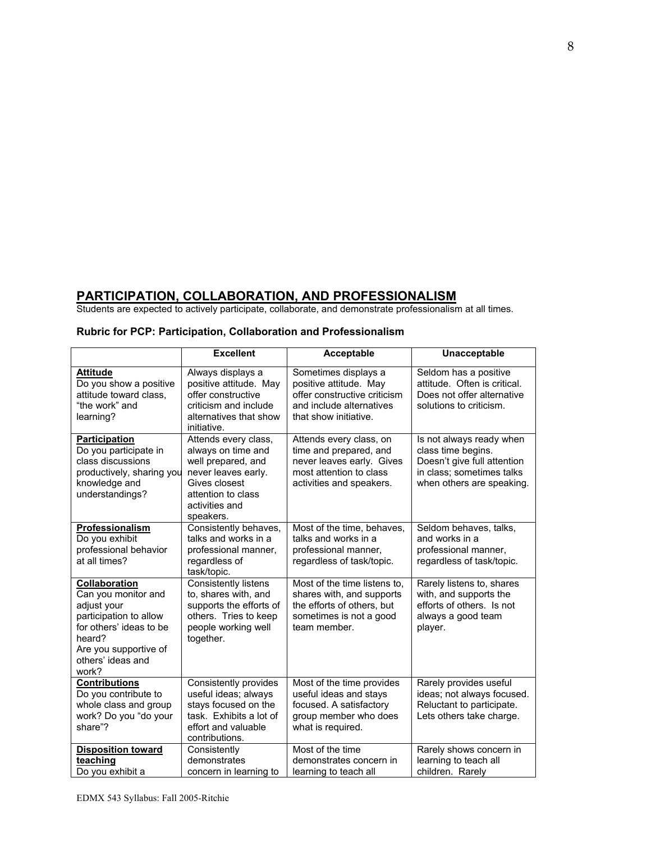# **PARTICIPATION, COLLABORATION, AND PROFESSIONALISM**

Students are expected to actively participate, collaborate, and demonstrate professionalism at all times.

|                                                                                                                                                                           | <b>Excellent</b>                                                                                                                                              | Acceptable                                                                                                                            | Unacceptable                                                                                                                            |
|---------------------------------------------------------------------------------------------------------------------------------------------------------------------------|---------------------------------------------------------------------------------------------------------------------------------------------------------------|---------------------------------------------------------------------------------------------------------------------------------------|-----------------------------------------------------------------------------------------------------------------------------------------|
| <b>Attitude</b><br>Do you show a positive<br>attitude toward class,<br>"the work" and<br>learning?                                                                        | Always displays a<br>positive attitude. May<br>offer constructive<br>criticism and include<br>alternatives that show<br>initiative.                           | Sometimes displays a<br>positive attitude. May<br>offer constructive criticism<br>and include alternatives<br>that show initiative.   | Seldom has a positive<br>attitude. Often is critical.<br>Does not offer alternative<br>solutions to criticism.                          |
| <b>Participation</b><br>Do you participate in<br>class discussions<br>productively, sharing you<br>knowledge and<br>understandings?                                       | Attends every class,<br>always on time and<br>well prepared, and<br>never leaves early.<br>Gives closest<br>attention to class<br>activities and<br>speakers. | Attends every class, on<br>time and prepared, and<br>never leaves early. Gives<br>most attention to class<br>activities and speakers. | Is not always ready when<br>class time begins.<br>Doesn't give full attention<br>in class; sometimes talks<br>when others are speaking. |
| Professionalism<br>Do you exhibit<br>professional behavior<br>at all times?                                                                                               | Consistently behaves,<br>talks and works in a<br>professional manner,<br>regardless of<br>task/topic.                                                         | Most of the time, behaves,<br>talks and works in a<br>professional manner,<br>regardless of task/topic.                               | Seldom behaves, talks,<br>and works in a<br>professional manner,<br>regardless of task/topic.                                           |
| Collaboration<br>Can you monitor and<br>adjust your<br>participation to allow<br>for others' ideas to be<br>heard?<br>Are you supportive of<br>others' ideas and<br>work? | <b>Consistently listens</b><br>to, shares with, and<br>supports the efforts of<br>others. Tries to keep<br>people working well<br>together.                   | Most of the time listens to,<br>shares with, and supports<br>the efforts of others, but<br>sometimes is not a good<br>team member.    | Rarely listens to, shares<br>with, and supports the<br>efforts of others. Is not<br>always a good team<br>player.                       |
| <b>Contributions</b><br>Do you contribute to<br>whole class and group<br>work? Do you "do your<br>share"?                                                                 | Consistently provides<br>useful ideas; always<br>stays focused on the<br>task. Exhibits a lot of<br>effort and valuable<br>contributions.                     | Most of the time provides<br>useful ideas and stays<br>focused. A satisfactory<br>group member who does<br>what is required.          | Rarely provides useful<br>ideas; not always focused.<br>Reluctant to participate.<br>Lets others take charge.                           |
| <b>Disposition toward</b><br>teaching<br>Do you exhibit a                                                                                                                 | Consistently<br>demonstrates<br>concern in learning to                                                                                                        | Most of the time<br>demonstrates concern in<br>learning to teach all                                                                  | Rarely shows concern in<br>learning to teach all<br>children. Rarely                                                                    |

#### **Rubric for PCP: Participation, Collaboration and Professionalism**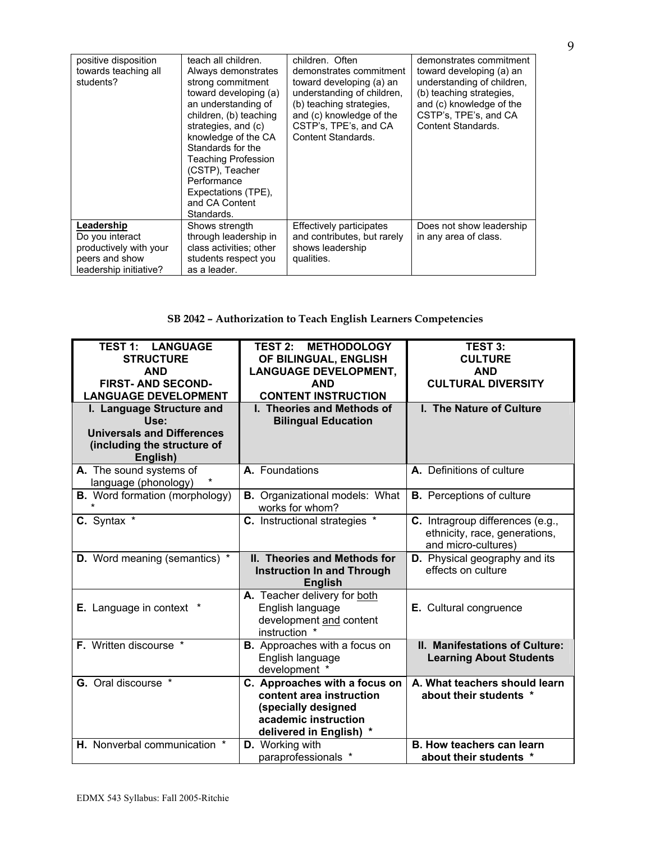| positive disposition<br>towards teaching all<br>students? | teach all children.<br>Always demonstrates<br>strong commitment<br>toward developing (a)<br>an understanding of<br>children, (b) teaching<br>strategies, and (c)<br>knowledge of the CA<br>Standards for the<br><b>Teaching Profession</b><br>(CSTP), Teacher<br>Performance<br>Expectations (TPE),<br>and CA Content<br>Standards. | children. Often<br>demonstrates commitment<br>toward developing (a) an<br>understanding of children,<br>(b) teaching strategies,<br>and (c) knowledge of the<br>CSTP's, TPE's, and CA<br>Content Standards. | demonstrates commitment<br>toward developing (a) an<br>understanding of children.<br>(b) teaching strategies.<br>and (c) knowledge of the<br>CSTP's, TPE's, and CA<br>Content Standards. |
|-----------------------------------------------------------|-------------------------------------------------------------------------------------------------------------------------------------------------------------------------------------------------------------------------------------------------------------------------------------------------------------------------------------|-------------------------------------------------------------------------------------------------------------------------------------------------------------------------------------------------------------|------------------------------------------------------------------------------------------------------------------------------------------------------------------------------------------|
| Leadership<br>Do you interact                             | Shows strength<br>through leadership in                                                                                                                                                                                                                                                                                             | <b>Effectively participates</b><br>and contributes, but rarely                                                                                                                                              | Does not show leadership<br>in any area of class.                                                                                                                                        |
| productively with your                                    | class activities: other                                                                                                                                                                                                                                                                                                             | shows leadership                                                                                                                                                                                            |                                                                                                                                                                                          |
| peers and show                                            | students respect you                                                                                                                                                                                                                                                                                                                | qualities.                                                                                                                                                                                                  |                                                                                                                                                                                          |
| leadership initiative?                                    | as a leader.                                                                                                                                                                                                                                                                                                                        |                                                                                                                                                                                                             |                                                                                                                                                                                          |

# **SB 2042 – Authorization to Teach English Learners Competencies**

| <b>TEST 1: LANGUAGE</b><br><b>STRUCTURE</b><br><b>AND</b><br><b>FIRST-AND SECOND-</b><br><b>LANGUAGE DEVELOPMENT</b> | <b>METHODOLOGY</b><br><b>TEST 2:</b><br>OF BILINGUAL, ENGLISH<br><b>LANGUAGE DEVELOPMENT,</b><br><b>AND</b><br><b>CONTENT INSTRUCTION</b> | <b>TEST 3:</b><br><b>CULTURE</b><br><b>AND</b><br><b>CULTURAL DIVERSITY</b>              |
|----------------------------------------------------------------------------------------------------------------------|-------------------------------------------------------------------------------------------------------------------------------------------|------------------------------------------------------------------------------------------|
| I. Language Structure and<br>Use:<br><b>Universals and Differences</b><br>(including the structure of<br>English)    | I. Theories and Methods of<br><b>Bilingual Education</b>                                                                                  | I. The Nature of Culture                                                                 |
| A. The sound systems of<br>language (phonology)                                                                      | A. Foundations                                                                                                                            | A. Definitions of culture                                                                |
| <b>B.</b> Word formation (morphology)                                                                                | <b>B.</b> Organizational models: What<br>works for whom?                                                                                  | <b>B.</b> Perceptions of culture                                                         |
| C. Syntax *                                                                                                          | <b>C.</b> Instructional strategies *                                                                                                      | C. Intragroup differences (e.g.,<br>ethnicity, race, generations,<br>and micro-cultures) |
| <b>D.</b> Word meaning (semantics) *                                                                                 | II. Theories and Methods for<br><b>Instruction In and Through</b><br><b>English</b>                                                       | D. Physical geography and its<br>effects on culture                                      |
| <b>E.</b> Language in context *                                                                                      | A. Teacher delivery for both<br>English language<br>development and content<br>instruction *                                              | E. Cultural congruence                                                                   |
| F. Written discourse *                                                                                               | <b>B.</b> Approaches with a focus on<br>English language<br>development *                                                                 | II. Manifestations of Culture:<br><b>Learning About Students</b>                         |
| G. Oral discourse *                                                                                                  | C. Approaches with a focus on<br>content area instruction<br>(specially designed<br>academic instruction<br>delivered in English) *       | A. What teachers should learn<br>about their students *                                  |
| H. Nonverbal communication *                                                                                         | D. Working with<br>paraprofessionals *                                                                                                    | <b>B. How teachers can learn</b><br>about their students *                               |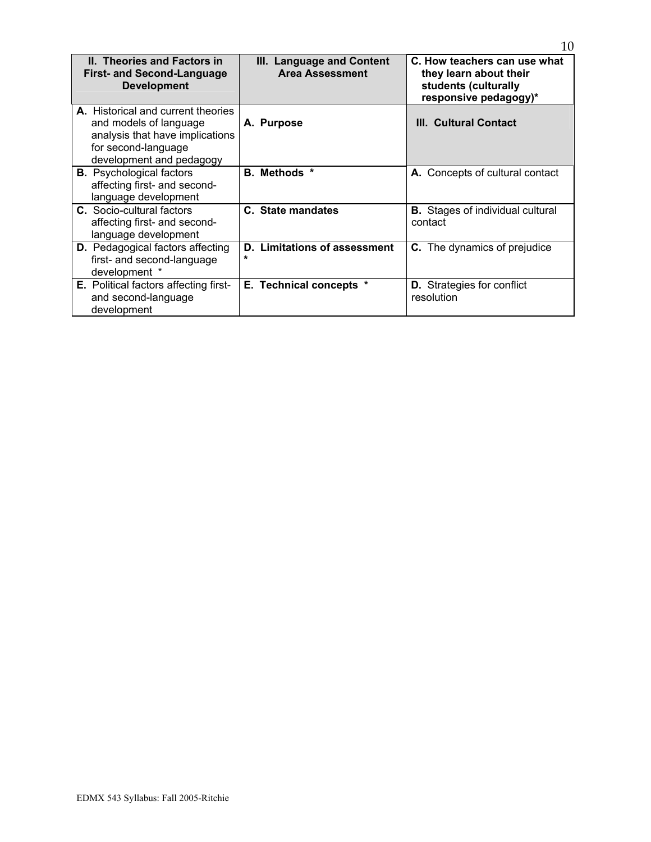| <b>II. Theories and Factors in</b>           | III. Language and Content           | C. How teachers can use what            |  |
|----------------------------------------------|-------------------------------------|-----------------------------------------|--|
| <b>First- and Second-Language</b>            | <b>Area Assessment</b>              | they learn about their                  |  |
| <b>Development</b>                           |                                     | students (culturally                    |  |
|                                              |                                     | responsive pedagogy)*                   |  |
| <b>A.</b> Historical and current theories    |                                     |                                         |  |
|                                              |                                     | III. Cultural Contact                   |  |
| and models of language                       | A. Purpose                          |                                         |  |
| analysis that have implications              |                                     |                                         |  |
| for second-language                          |                                     |                                         |  |
| development and pedagogy                     |                                     |                                         |  |
| <b>B.</b> Psychological factors              | B. Methods *                        | A. Concepts of cultural contact         |  |
| affecting first- and second-                 |                                     |                                         |  |
| language development                         |                                     |                                         |  |
| <b>C.</b> Socio-cultural factors             | C. State mandates                   | <b>B.</b> Stages of individual cultural |  |
| affecting first- and second-                 |                                     | contact                                 |  |
| language development                         |                                     |                                         |  |
| <b>D.</b> Pedagogical factors affecting      | <b>D. Limitations of assessment</b> | <b>C.</b> The dynamics of prejudice     |  |
| first- and second-language                   | $\star$                             |                                         |  |
| development *                                |                                     |                                         |  |
| <b>E.</b> Political factors affecting first- | E. Technical concepts *             | <b>D.</b> Strategies for conflict       |  |
| and second-language                          |                                     | resolution                              |  |
| development                                  |                                     |                                         |  |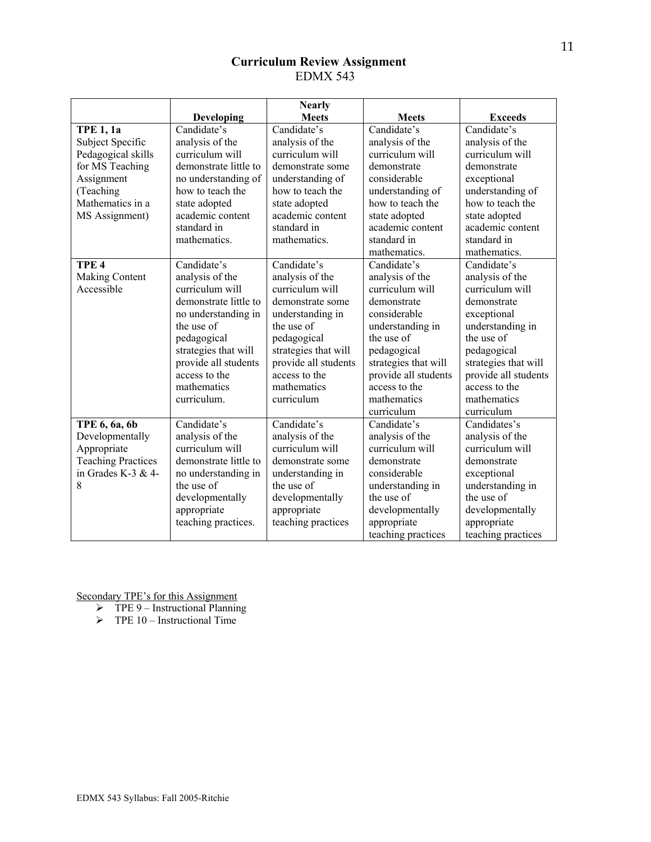# **Curriculum Review Assignment**  EDMX 543

|                           |                       | <b>Nearly</b>        |                      |                      |
|---------------------------|-----------------------|----------------------|----------------------|----------------------|
|                           | Developing            | <b>Meets</b>         | <b>Meets</b>         | <b>Exceeds</b>       |
| <b>TPE 1, 1a</b>          | Candidate's           | Candidate's          | Candidate's          | Candidate's          |
| Subject Specific          | analysis of the       | analysis of the      | analysis of the      | analysis of the      |
| Pedagogical skills        | curriculum will       | curriculum will      | curriculum will      | curriculum will      |
| for MS Teaching           | demonstrate little to | demonstrate some     | demonstrate          | demonstrate          |
| Assignment                | no understanding of   | understanding of     | considerable         | exceptional          |
| (Teaching                 | how to teach the      | how to teach the     | understanding of     | understanding of     |
| Mathematics in a          | state adopted         | state adopted        | how to teach the     | how to teach the     |
| MS Assignment)            | academic content      | academic content     | state adopted        | state adopted        |
|                           | standard in           | standard in          | academic content     | academic content     |
|                           | mathematics.          | mathematics.         | standard in          | standard in          |
|                           |                       |                      | mathematics.         | mathematics.         |
| TPE <sub>4</sub>          | Candidate's           | Candidate's          | Candidate's          | Candidate's          |
| Making Content            | analysis of the       | analysis of the      | analysis of the      | analysis of the      |
| Accessible                | curriculum will       | curriculum will      | curriculum will      | curriculum will      |
|                           | demonstrate little to | demonstrate some     | demonstrate          | demonstrate          |
|                           | no understanding in   | understanding in     | considerable         | exceptional          |
|                           | the use of            | the use of           | understanding in     | understanding in     |
|                           | pedagogical           | pedagogical          | the use of           | the use of           |
|                           | strategies that will  | strategies that will | pedagogical          | pedagogical          |
|                           | provide all students  | provide all students | strategies that will | strategies that will |
|                           | access to the         | access to the        | provide all students | provide all students |
|                           | mathematics           | mathematics          | access to the        | access to the        |
|                           | curriculum.           | curriculum           | mathematics          | mathematics          |
|                           |                       |                      | curriculum           | curriculum           |
| TPE 6, 6a, 6b             | Candidate's           | Candidate's          | Candidate's          | Candidates's         |
| Developmentally           | analysis of the       | analysis of the      | analysis of the      | analysis of the      |
| Appropriate               | curriculum will       | curriculum will      | curriculum will      | curriculum will      |
| <b>Teaching Practices</b> | demonstrate little to | demonstrate some     | demonstrate          | demonstrate          |
| in Grades K-3 & 4-        | no understanding in   | understanding in     | considerable         | exceptional          |
| 8                         | the use of            | the use of           | understanding in     | understanding in     |
|                           | developmentally       | developmentally      | the use of           | the use of           |
|                           | appropriate           | appropriate          | developmentally      | developmentally      |
|                           | teaching practices.   | teaching practices   | appropriate          | appropriate          |
|                           |                       |                      | teaching practices   | teaching practices   |

- $\triangleright$  TPE 9 Instructional Planning
- $\triangleright$  TPE 10 Instructional Time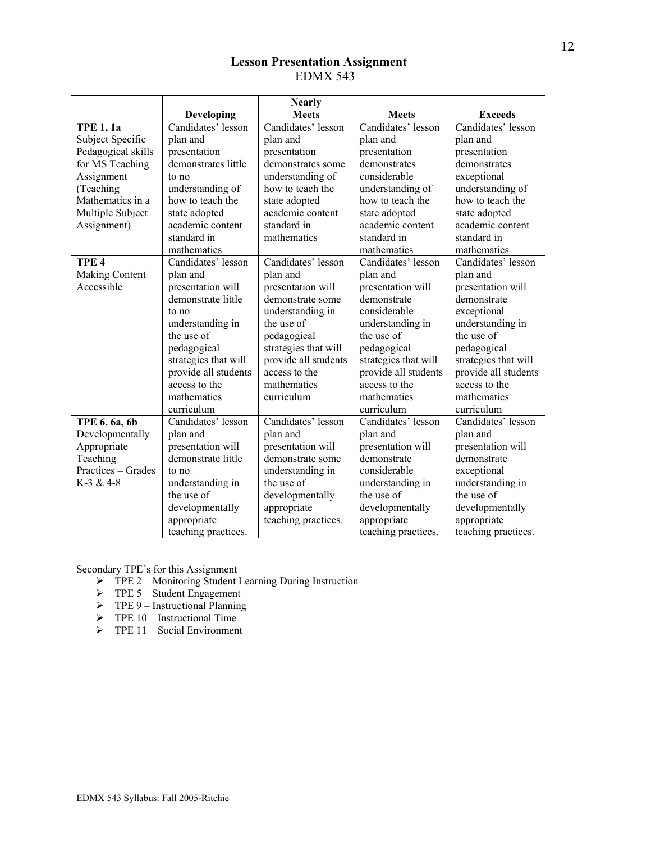# **Lesson Presentation Assignment**  EDMX 543

|                       |                      | <b>Nearly</b>        |                      |                      |
|-----------------------|----------------------|----------------------|----------------------|----------------------|
|                       | Developing           | <b>Meets</b>         | <b>Meets</b>         | <b>Exceeds</b>       |
| <b>TPE 1, 1a</b>      | Candidates' lesson   | Candidates' lesson   | Candidates' lesson   | Candidates' lesson   |
| Subject Specific      | plan and             | plan and             | plan and             | plan and             |
| Pedagogical skills    | presentation         | presentation         | presentation         | presentation         |
| for MS Teaching       | demonstrates little  | demonstrates some    | demonstrates         | demonstrates         |
| Assignment            | to no                | understanding of     | considerable         | exceptional          |
| (Teaching             | understanding of     | how to teach the     | understanding of     | understanding of     |
| Mathematics in a      | how to teach the     | state adopted        | how to teach the     | how to teach the     |
| Multiple Subject      | state adopted        | academic content     | state adopted        | state adopted        |
| Assignment)           | academic content     | standard in          | academic content     | academic content     |
|                       | standard in          | mathematics          | standard in          | standard in          |
|                       | mathematics          |                      | mathematics          | mathematics          |
| TPE <sub>4</sub>      | Candidates' lesson   | Candidates' lesson   | Candidates' lesson   | Candidates' lesson   |
| <b>Making Content</b> | plan and             | plan and             | plan and             | plan and             |
| Accessible            | presentation will    | presentation will    | presentation will    | presentation will    |
|                       | demonstrate little   | demonstrate some     | demonstrate          | demonstrate          |
|                       | to no                | understanding in     | considerable         | exceptional          |
|                       | understanding in     | the use of           | understanding in     | understanding in     |
|                       | the use of           | pedagogical          | the use of           | the use of           |
|                       | pedagogical          | strategies that will | pedagogical          | pedagogical          |
|                       | strategies that will | provide all students | strategies that will | strategies that will |
|                       | provide all students | access to the        | provide all students | provide all students |
|                       | access to the        | mathematics          | access to the        | access to the        |
|                       | mathematics          | curriculum           | mathematics          | mathematics          |
|                       | curriculum           |                      | curriculum           | curriculum           |
| TPE 6, 6a, 6b         | Candidates' lesson   | Candidates' lesson   | Candidates' lesson   | Candidates' lesson   |
| Developmentally       | plan and             | plan and             | plan and             | plan and             |
| Appropriate           | presentation will    | presentation will    | presentation will    | presentation will    |
| Teaching              | demonstrate little   | demonstrate some     | demonstrate          | demonstrate          |
| Practices - Grades    | to no                | understanding in     | considerable         | exceptional          |
| $K-3 & 4-8$           | understanding in     | the use of           | understanding in     | understanding in     |
|                       | the use of           | developmentally      | the use of           | the use of           |
|                       | developmentally      | appropriate          | developmentally      | developmentally      |
|                       | appropriate          | teaching practices.  | appropriate          | appropriate          |
|                       | teaching practices.  |                      | teaching practices.  | teaching practices.  |

- ¾ TPE 2 Monitoring Student Learning During Instruction
- $\triangleright$  TPE 5 Student Engagement
- $\triangleright$  TPE 9 Instructional Planning
- $\triangleright$  TPE 10 Instructional Time
- $\triangleright$  TPE 11 Social Environment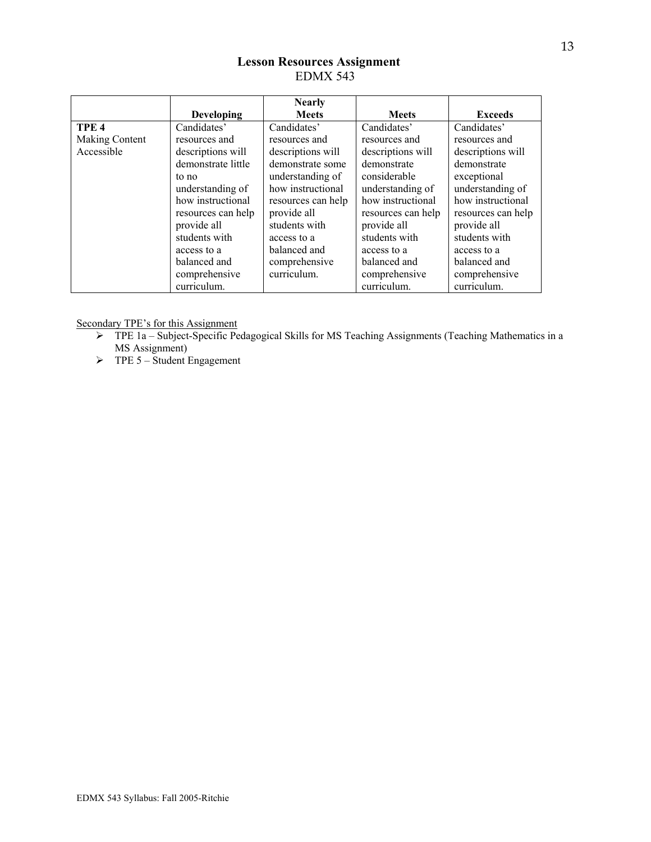# **Lesson Resources Assignment**  EDMX 543

|                  |                    | <b>Nearly</b>      |                    |                    |
|------------------|--------------------|--------------------|--------------------|--------------------|
|                  | <b>Developing</b>  | <b>Meets</b>       | <b>Meets</b>       | <b>Exceeds</b>     |
| TPE <sub>4</sub> | Candidates'        | Candidates'        | Candidates'        | Candidates'        |
| Making Content   | resources and      | resources and      | resources and      | resources and      |
| Accessible       | descriptions will  | descriptions will  | descriptions will  | descriptions will  |
|                  | demonstrate little | demonstrate some   | demonstrate        | demonstrate        |
|                  | to no              | understanding of   | considerable       | exceptional        |
|                  | understanding of   | how instructional  | understanding of   | understanding of   |
|                  | how instructional  | resources can help | how instructional  | how instructional  |
|                  | resources can help | provide all        | resources can help | resources can help |
|                  | provide all        | students with      | provide all        | provide all        |
|                  | students with      | access to a        | students with      | students with      |
|                  | access to a        | balanced and       | access to a        | access to a        |
|                  | balanced and       | comprehensive      | balanced and       | balanced and       |
|                  | comprehensive      | curriculum.        | comprehensive      | comprehensive      |
|                  | curriculum.        |                    | curriculum.        | curriculum.        |

- ¾ TPE 1a Subject-Specific Pedagogical Skills for MS Teaching Assignments (Teaching Mathematics in a MS Assignment)
- $\triangleright$  TPE 5 Student Engagement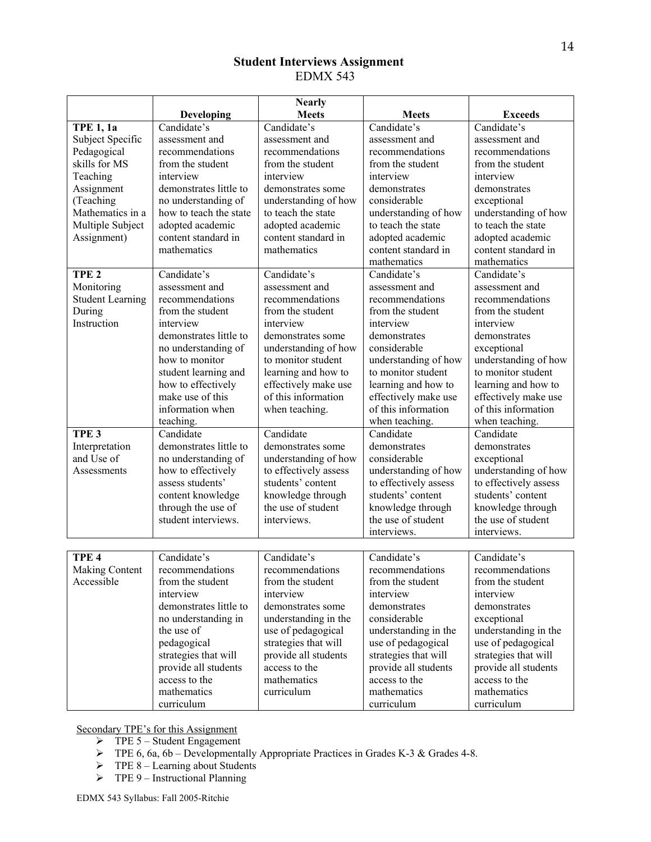# **Student Interviews Assignment**  EDMX 543

|                         |                        | <b>Nearly</b>         |                       |                       |
|-------------------------|------------------------|-----------------------|-----------------------|-----------------------|
|                         | <b>Developing</b>      | <b>Meets</b>          | <b>Meets</b>          | <b>Exceeds</b>        |
| <b>TPE 1, 1a</b>        | Candidate's            | Candidate's           | Candidate's           | Candidate's           |
| Subject Specific        | assessment and         | assessment and        | assessment and        | assessment and        |
| Pedagogical             | recommendations        | recommendations       | recommendations       | recommendations       |
| skills for MS           | from the student       | from the student      | from the student      | from the student      |
| Teaching                | interview              | interview             | interview             | interview             |
| Assignment              | demonstrates little to | demonstrates some     | demonstrates          | demonstrates          |
| (Teaching               | no understanding of    | understanding of how  | considerable          | exceptional           |
| Mathematics in a        | how to teach the state | to teach the state    | understanding of how  | understanding of how  |
| Multiple Subject        | adopted academic       | adopted academic      | to teach the state    | to teach the state    |
| Assignment)             | content standard in    | content standard in   | adopted academic      | adopted academic      |
|                         | mathematics            | mathematics           | content standard in   | content standard in   |
|                         |                        |                       | mathematics           | mathematics           |
| TPE <sub>2</sub>        | Candidate's            | Candidate's           | Candidate's           | Candidate's           |
| Monitoring              | assessment and         | assessment and        | assessment and        | assessment and        |
| <b>Student Learning</b> | recommendations        | recommendations       | recommendations       | recommendations       |
| During                  | from the student       | from the student      | from the student      | from the student      |
| Instruction             | interview              | interview             | interview             | interview             |
|                         | demonstrates little to | demonstrates some     | demonstrates          | demonstrates          |
|                         | no understanding of    | understanding of how  | considerable          | exceptional           |
|                         | how to monitor         | to monitor student    | understanding of how  | understanding of how  |
|                         | student learning and   | learning and how to   | to monitor student    | to monitor student    |
|                         | how to effectively     | effectively make use  | learning and how to   | learning and how to   |
|                         | make use of this       | of this information   | effectively make use  | effectively make use  |
|                         | information when       | when teaching.        | of this information   | of this information   |
|                         | teaching.              |                       | when teaching.        | when teaching.        |
| TPE <sub>3</sub>        | Candidate              | Candidate             | Candidate             | Candidate             |
| Interpretation          | demonstrates little to | demonstrates some     | demonstrates          | demonstrates          |
| and Use of              | no understanding of    | understanding of how  | considerable          | exceptional           |
| Assessments             | how to effectively     | to effectively assess | understanding of how  | understanding of how  |
|                         | assess students'       | students' content     | to effectively assess | to effectively assess |
|                         | content knowledge      | knowledge through     | students' content     | students' content     |
|                         | through the use of     | the use of student    | knowledge through     | knowledge through     |
|                         | student interviews.    | interviews.           | the use of student    | the use of student    |
|                         |                        |                       | interviews.           | interviews.           |
|                         |                        |                       |                       |                       |
| TPE <sub>4</sub>        | Candidate's            | Candidate's           | Candidate's           | Candidate's           |
| Making Content          | recommendations        | recommendations       | recommendations       | recommendations       |
| Accessible              | from the student       | from the student      | from the student      | from the student      |
|                         | interview              | interview             | interview             | interview             |
|                         | demonstrates little to | demonstrates some     | demonstrates          | demonstrates          |
|                         | no understanding in    | understanding in the  | considerable          | exceptional           |
|                         | the use of             | use of pedagogical    | understanding in the  | understanding in the  |
|                         | pedagogical            | strategies that will  | use of pedagogical    | use of pedagogical    |
|                         | strategies that will   | provide all students  | strategies that will  | strategies that will  |
|                         | provide all students   | access to the         | provide all students  | provide all students  |
|                         | access to the          | mathematics           | access to the         | access to the         |
|                         | mathematics            | curriculum            | mathematics           | mathematics           |
|                         | curriculum             |                       | curriculum            | curriculum            |

- $\triangleright$  TPE 5 Student Engagement
- $\triangleright$  TPE 6, 6a, 6b Developmentally Appropriate Practices in Grades K-3 & Grades 4-8.
- $\triangleright$  TPE 8 Learning about Students
- $\triangleright$  TPE 9 Instructional Planning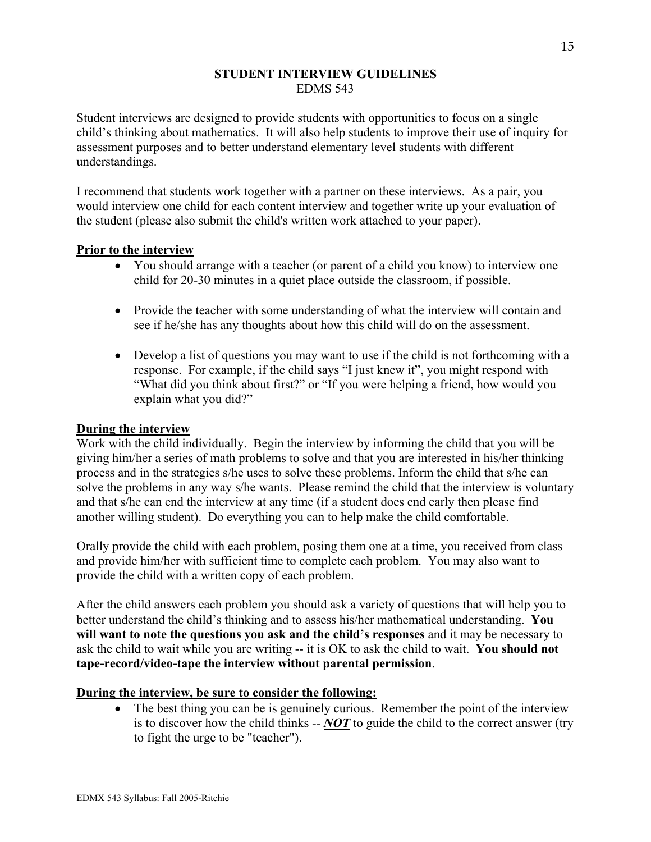# **STUDENT INTERVIEW GUIDELINES**  EDMS 543

Student interviews are designed to provide students with opportunities to focus on a single child's thinking about mathematics. It will also help students to improve their use of inquiry for assessment purposes and to better understand elementary level students with different understandings.

I recommend that students work together with a partner on these interviews. As a pair, you would interview one child for each content interview and together write up your evaluation of the student (please also submit the child's written work attached to your paper).

# **Prior to the interview**

- You should arrange with a teacher (or parent of a child you know) to interview one child for 20-30 minutes in a quiet place outside the classroom, if possible.
- Provide the teacher with some understanding of what the interview will contain and see if he/she has any thoughts about how this child will do on the assessment.
- Develop a list of questions you may want to use if the child is not forthcoming with a response. For example, if the child says "I just knew it", you might respond with "What did you think about first?" or "If you were helping a friend, how would you explain what you did?"

# **During the interview**

Work with the child individually. Begin the interview by informing the child that you will be giving him/her a series of math problems to solve and that you are interested in his/her thinking process and in the strategies s/he uses to solve these problems. Inform the child that s/he can solve the problems in any way s/he wants. Please remind the child that the interview is voluntary and that s/he can end the interview at any time (if a student does end early then please find another willing student). Do everything you can to help make the child comfortable.

Orally provide the child with each problem, posing them one at a time, you received from class and provide him/her with sufficient time to complete each problem. You may also want to provide the child with a written copy of each problem.

After the child answers each problem you should ask a variety of questions that will help you to better understand the child's thinking and to assess his/her mathematical understanding. **You will want to note the questions you ask and the child's responses** and it may be necessary to ask the child to wait while you are writing -- it is OK to ask the child to wait. **You should not tape-record/video-tape the interview without parental permission**.

# **During the interview, be sure to consider the following:**

• The best thing you can be is genuinely curious. Remember the point of the interview is to discover how the child thinks -- *NOT* to guide the child to the correct answer (try to fight the urge to be "teacher").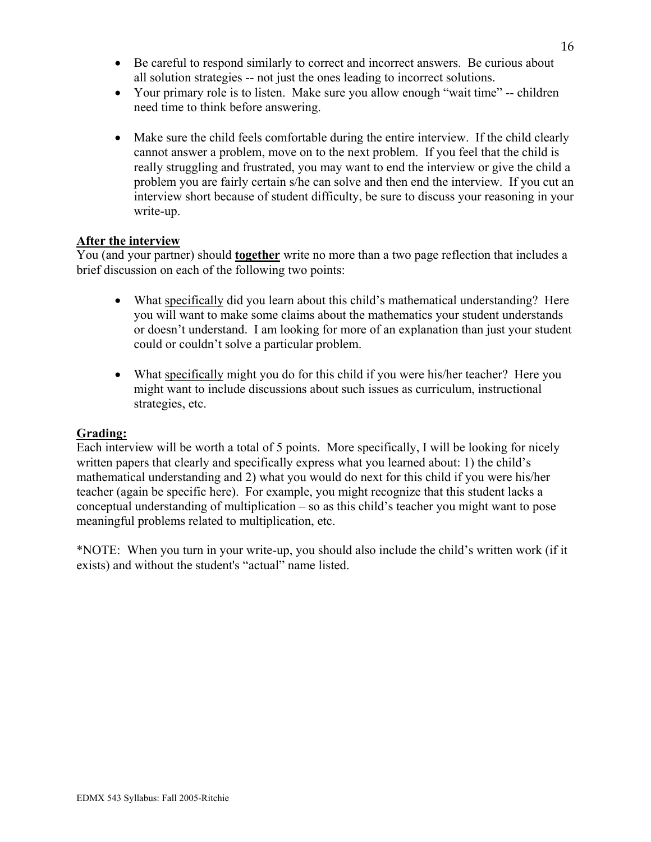- Be careful to respond similarly to correct and incorrect answers. Be curious about all solution strategies -- not just the ones leading to incorrect solutions.
- Your primary role is to listen. Make sure you allow enough "wait time" -- children need time to think before answering.
- Make sure the child feels comfortable during the entire interview. If the child clearly cannot answer a problem, move on to the next problem. If you feel that the child is really struggling and frustrated, you may want to end the interview or give the child a problem you are fairly certain s/he can solve and then end the interview. If you cut an interview short because of student difficulty, be sure to discuss your reasoning in your write-up.

# **After the interview**

You (and your partner) should **together** write no more than a two page reflection that includes a brief discussion on each of the following two points:

- What specifically did you learn about this child's mathematical understanding? Here you will want to make some claims about the mathematics your student understands or doesn't understand. I am looking for more of an explanation than just your student could or couldn't solve a particular problem.
- What specifically might you do for this child if you were his/her teacher? Here you might want to include discussions about such issues as curriculum, instructional strategies, etc.

# **Grading:**

Each interview will be worth a total of 5 points. More specifically, I will be looking for nicely written papers that clearly and specifically express what you learned about: 1) the child's mathematical understanding and 2) what you would do next for this child if you were his/her teacher (again be specific here). For example, you might recognize that this student lacks a conceptual understanding of multiplication – so as this child's teacher you might want to pose meaningful problems related to multiplication, etc.

\*NOTE: When you turn in your write-up, you should also include the child's written work (if it exists) and without the student's "actual" name listed.